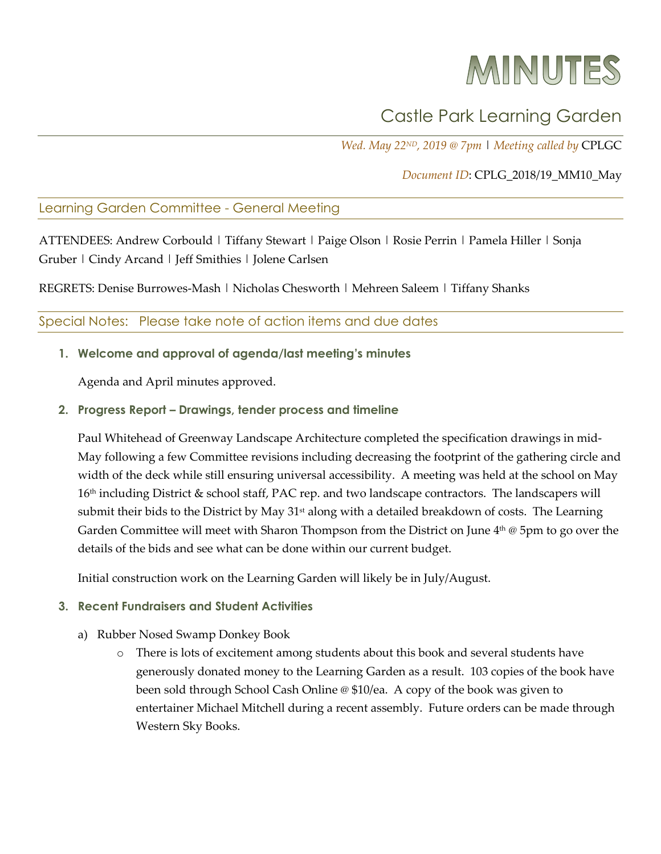# MINUTES

# Castle Park Learning Garden

*Wed. May 22ND, 2019 @ 7pm* | *Meeting called by* CPLGC

# *Document ID*: CPLG\_2018/19\_MM10\_May

## Learning Garden Committee - General Meeting

ATTENDEES: Andrew Corbould | Tiffany Stewart | Paige Olson | Rosie Perrin | Pamela Hiller | Sonja Gruber | Cindy Arcand | Jeff Smithies | Jolene Carlsen

REGRETS: Denise Burrowes-Mash | Nicholas Chesworth | Mehreen Saleem | Tiffany Shanks

#### Special Notes: Please take note of action items and due dates

#### **1. Welcome and approval of agenda/last meeting's minutes**

Agenda and April minutes approved.

#### **2. Progress Report – Drawings, tender process and timeline**

Paul Whitehead of Greenway Landscape Architecture completed the specification drawings in mid-May following a few Committee revisions including decreasing the footprint of the gathering circle and width of the deck while still ensuring universal accessibility. A meeting was held at the school on May 16<sup>th</sup> including District & school staff, PAC rep. and two landscape contractors. The landscapers will submit their bids to the District by May 31<sup>st</sup> along with a detailed breakdown of costs. The Learning Garden Committee will meet with Sharon Thompson from the District on June  $4<sup>th</sup>$  @ 5pm to go over the details of the bids and see what can be done within our current budget.

Initial construction work on the Learning Garden will likely be in July/August.

#### **3. Recent Fundraisers and Student Activities**

- a) Rubber Nosed Swamp Donkey Book
	- o There is lots of excitement among students about this book and several students have generously donated money to the Learning Garden as a result. 103 copies of the book have been sold through School Cash Online @ \$10/ea. A copy of the book was given to entertainer Michael Mitchell during a recent assembly. Future orders can be made through Western Sky Books.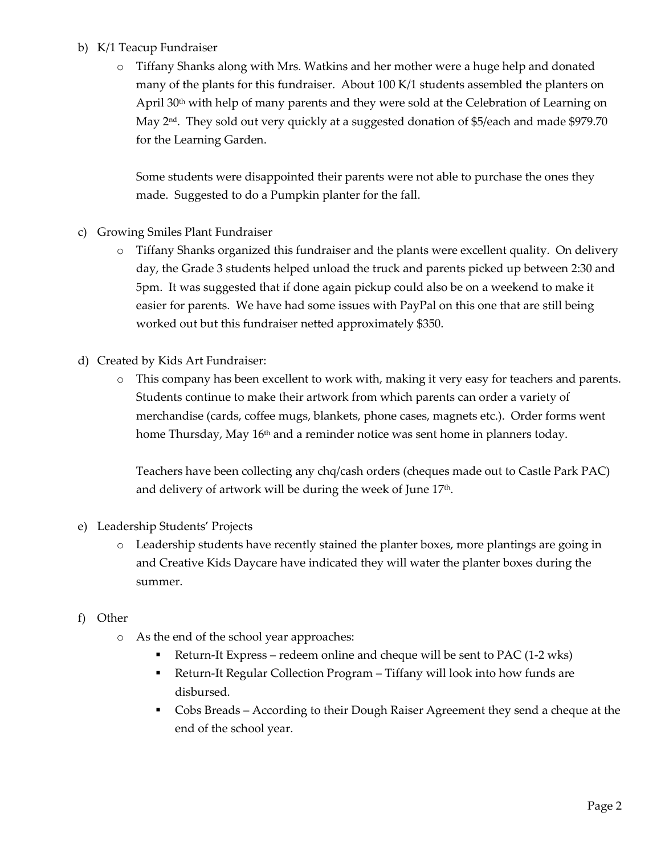# b) K/1 Teacup Fundraiser

o Tiffany Shanks along with Mrs. Watkins and her mother were a huge help and donated many of the plants for this fundraiser. About 100 K/1 students assembled the planters on April 30<sup>th</sup> with help of many parents and they were sold at the Celebration of Learning on May 2nd. They sold out very quickly at a suggested donation of \$5/each and made \$979.70 for the Learning Garden.

Some students were disappointed their parents were not able to purchase the ones they made. Suggested to do a Pumpkin planter for the fall.

- c) Growing Smiles Plant Fundraiser
	- o Tiffany Shanks organized this fundraiser and the plants were excellent quality. On delivery day, the Grade 3 students helped unload the truck and parents picked up between 2:30 and 5pm. It was suggested that if done again pickup could also be on a weekend to make it easier for parents. We have had some issues with PayPal on this one that are still being worked out but this fundraiser netted approximately \$350.
- d) Created by Kids Art Fundraiser:
	- o This company has been excellent to work with, making it very easy for teachers and parents. Students continue to make their artwork from which parents can order a variety of merchandise (cards, coffee mugs, blankets, phone cases, magnets etc.). Order forms went home Thursday, May  $16<sup>th</sup>$  and a reminder notice was sent home in planners today.

Teachers have been collecting any chq/cash orders (cheques made out to Castle Park PAC) and delivery of artwork will be during the week of June 17<sup>th</sup>.

- e) Leadership Students' Projects
	- o Leadership students have recently stained the planter boxes, more plantings are going in and Creative Kids Daycare have indicated they will water the planter boxes during the summer.
- f) Other
	- o As the end of the school year approaches:
		- § Return-It Express redeem online and cheque will be sent to PAC (1-2 wks)
		- Return-It Regular Collection Program Tiffany will look into how funds are disbursed.
		- Cobs Breads According to their Dough Raiser Agreement they send a cheque at the end of the school year.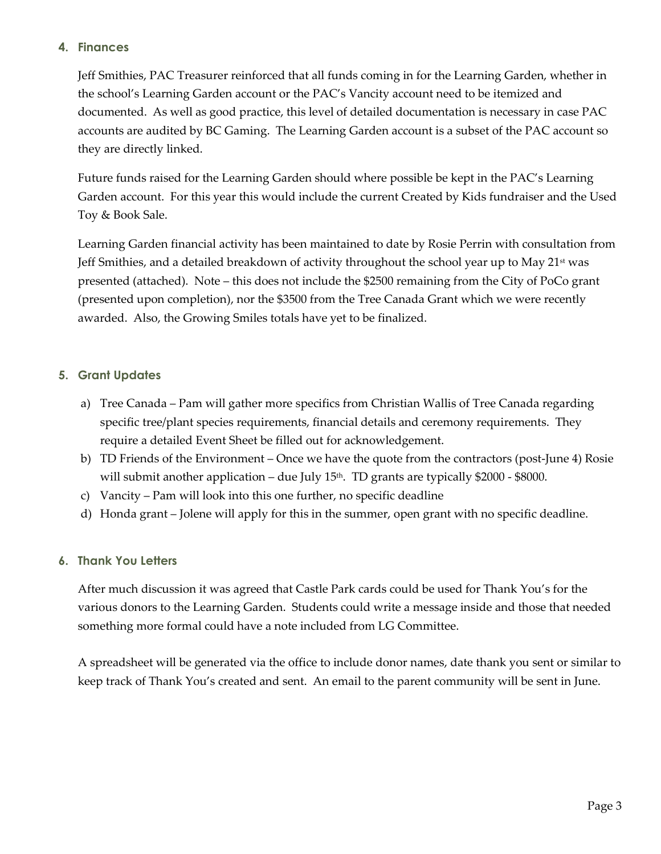## **4. Finances**

Jeff Smithies, PAC Treasurer reinforced that all funds coming in for the Learning Garden, whether in the school's Learning Garden account or the PAC's Vancity account need to be itemized and documented. As well as good practice, this level of detailed documentation is necessary in case PAC accounts are audited by BC Gaming. The Learning Garden account is a subset of the PAC account so they are directly linked.

Future funds raised for the Learning Garden should where possible be kept in the PAC's Learning Garden account. For this year this would include the current Created by Kids fundraiser and the Used Toy & Book Sale.

Learning Garden financial activity has been maintained to date by Rosie Perrin with consultation from Jeff Smithies, and a detailed breakdown of activity throughout the school year up to May  $21<sup>st</sup>$  was presented (attached). Note – this does not include the \$2500 remaining from the City of PoCo grant (presented upon completion), nor the \$3500 from the Tree Canada Grant which we were recently awarded. Also, the Growing Smiles totals have yet to be finalized.

# **5. Grant Updates**

- a) Tree Canada Pam will gather more specifics from Christian Wallis of Tree Canada regarding specific tree/plant species requirements, financial details and ceremony requirements. They require a detailed Event Sheet be filled out for acknowledgement.
- b) TD Friends of the Environment Once we have the quote from the contractors (post-June 4) Rosie will submit another application – due July  $15<sup>th</sup>$ . TD grants are typically \$2000 - \$8000.
- c) Vancity Pam will look into this one further, no specific deadline
- d) Honda grant Jolene will apply for this in the summer, open grant with no specific deadline.

## **6. Thank You Letters**

After much discussion it was agreed that Castle Park cards could be used for Thank You's for the various donors to the Learning Garden. Students could write a message inside and those that needed something more formal could have a note included from LG Committee.

A spreadsheet will be generated via the office to include donor names, date thank you sent or similar to keep track of Thank You's created and sent. An email to the parent community will be sent in June.